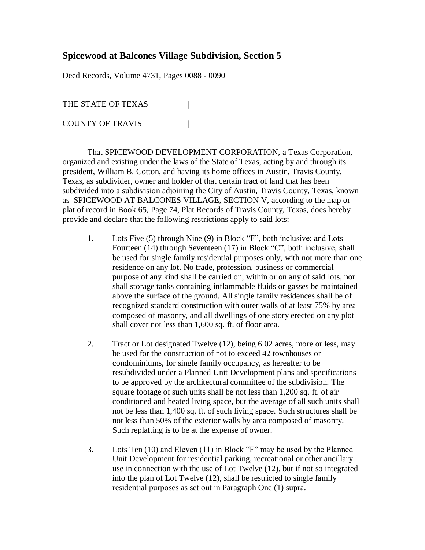## **Spicewood at Balcones Village Subdivision, Section 5**

Deed Records, Volume 4731, Pages 0088 - 0090

THE STATE OF TEXAS COUNTY OF TRAVIS |

That SPICEWOOD DEVELOPMENT CORPORATION, a Texas Corporation, organized and existing under the laws of the State of Texas, acting by and through its president, William B. Cotton, and having its home offices in Austin, Travis County, Texas, as subdivider, owner and holder of that certain tract of land that has been subdivided into a subdivision adjoining the City of Austin, Travis County, Texas, known as SPICEWOOD AT BALCONES VILLAGE, SECTION V, according to the map or plat of record in Book 65, Page 74, Plat Records of Travis County, Texas, does hereby provide and declare that the following restrictions apply to said lots:

- 1. Lots Five (5) through Nine (9) in Block "F", both inclusive; and Lots Fourteen (14) through Seventeen (17) in Block "C", both inclusive, shall be used for single family residential purposes only, with not more than one residence on any lot. No trade, profession, business or commercial purpose of any kind shall be carried on, within or on any of said lots, nor shall storage tanks containing inflammable fluids or gasses be maintained above the surface of the ground. All single family residences shall be of recognized standard construction with outer walls of at least 75% by area composed of masonry, and all dwellings of one story erected on any plot shall cover not less than 1,600 sq. ft. of floor area.
- 2. Tract or Lot designated Twelve (12), being 6.02 acres, more or less, may be used for the construction of not to exceed 42 townhouses or condominiums, for single family occupancy, as hereafter to be resubdivided under a Planned Unit Development plans and specifications to be approved by the architectural committee of the subdivision. The square footage of such units shall be not less than 1,200 sq. ft. of air conditioned and heated living space, but the average of all such units shall not be less than 1,400 sq. ft. of such living space. Such structures shall be not less than 50% of the exterior walls by area composed of masonry. Such replatting is to be at the expense of owner.
- 3. Lots Ten (10) and Eleven (11) in Block "F" may be used by the Planned Unit Development for residential parking, recreational or other ancillary use in connection with the use of Lot Twelve (12), but if not so integrated into the plan of Lot Twelve (12), shall be restricted to single family residential purposes as set out in Paragraph One (1) supra.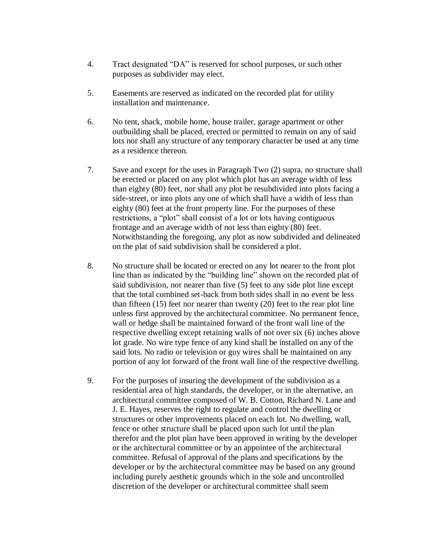- 4. Tract designated "DA" is reserved for school purposes, or such other purposes as subdivider may elect.
- 5. Easements are reserved as indicated on the recorded plat for utility installation and maintenance.
- 6. No tent, shack, mobile home, house trailer, garage apartment or other outbuilding shall be placed, erected or permitted to remain on any of said lots nor shall any structure of any temporary character be used at any time as a residence thereon.
- 7. Save and except for the uses in Paragraph Two (2) supra, no structure shall be erected or placed on any plot which plot has an average width of less than eighty (80) feet, nor shall any plot be resubdivided into plots facing a side-street, or into plots any one of which shall have a width of less than eighty (80) feet at the front property line. For the purposes of these restrictions, a "plot" shall consist of a lot or lots having contiguous frontage and an average width of not less than eighty (80) feet. Notwithstanding the foregoing, any plot as now subdivided and delineated on the plat of said subdivision shall be considered a plot.
- 8. No structure shall be located or erected on any lot nearer to the front plot line than as indicated by the "building line" shown on the recorded plat of said subdivision, nor nearer than five (5) feet to any side plot line except that the total combined set-back from both sides shall in no event be less than fifteen (15) feet nor nearer than twenty (20) feet to the rear plot line unless first approved by the architectural committee. No permanent fence, wall or hedge shall be maintained forward of the front wall line of the respective dwelling except retaining walls of not over six (6) inches above lot grade. No wire type fence of any kind shall be installed on any of the said lots. No radio or television or guy wires shall be maintained on any portion of any lot forward of the front wall line of the respective dwelling.
- 9. For the purposes of insuring the development of the subdivision as a residential area of high standards, the developer, or in the alternative, an architectural committee composed of W. B. Cotton, Richard N. Lane and J. E. Hayes, reserves the right to regulate and control the dwelling or structures or other improvements placed on each lot. No dwelling, wall, fence or other structure shall be placed upon such lot until the plan therefor and the plot plan have been approved in writing by the developer or the architectural committee or by an appointee of the architectural committee. Refusal of approval of the plans and specifications by the developer or by the architectural committee may be based on any ground including purely aesthetic grounds which in the sole and uncontrolled discretion of the developer or architectural committee shall seem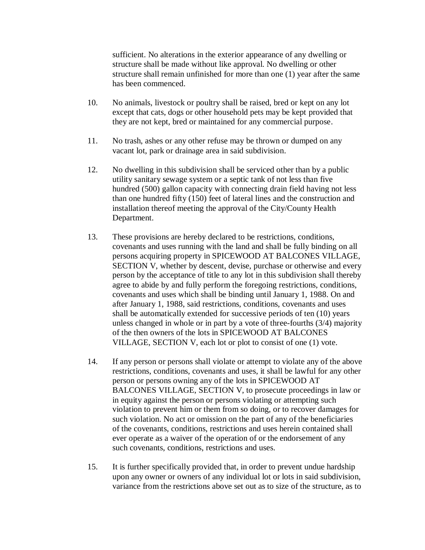sufficient. No alterations in the exterior appearance of any dwelling or structure shall be made without like approval. No dwelling or other structure shall remain unfinished for more than one (1) year after the same has been commenced.

- 10. No animals, livestock or poultry shall be raised, bred or kept on any lot except that cats, dogs or other household pets may be kept provided that they are not kept, bred or maintained for any commercial purpose.
- 11. No trash, ashes or any other refuse may be thrown or dumped on any vacant lot, park or drainage area in said subdivision.
- 12. No dwelling in this subdivision shall be serviced other than by a public utility sanitary sewage system or a septic tank of not less than five hundred (500) gallon capacity with connecting drain field having not less than one hundred fifty (150) feet of lateral lines and the construction and installation thereof meeting the approval of the City/County Health Department.
- 13. These provisions are hereby declared to be restrictions, conditions, covenants and uses running with the land and shall be fully binding on all persons acquiring property in SPICEWOOD AT BALCONES VILLAGE, SECTION V, whether by descent, devise, purchase or otherwise and every person by the acceptance of title to any lot in this subdivision shall thereby agree to abide by and fully perform the foregoing restrictions, conditions, covenants and uses which shall be binding until January 1, 1988. On and after January 1, 1988, said restrictions, conditions, covenants and uses shall be automatically extended for successive periods of ten (10) years unless changed in whole or in part by a vote of three-fourths (3/4) majority of the then owners of the lots in SPICEWOOD AT BALCONES VILLAGE, SECTION V, each lot or plot to consist of one (1) vote.
- 14. If any person or persons shall violate or attempt to violate any of the above restrictions, conditions, covenants and uses, it shall be lawful for any other person or persons owning any of the lots in SPICEWOOD AT BALCONES VILLAGE, SECTION V, to prosecute proceedings in law or in equity against the person or persons violating or attempting such violation to prevent him or them from so doing, or to recover damages for such violation. No act or omission on the part of any of the beneficiaries of the covenants, conditions, restrictions and uses herein contained shall ever operate as a waiver of the operation of or the endorsement of any such covenants, conditions, restrictions and uses.
- 15. It is further specifically provided that, in order to prevent undue hardship upon any owner or owners of any individual lot or lots in said subdivision, variance from the restrictions above set out as to size of the structure, as to